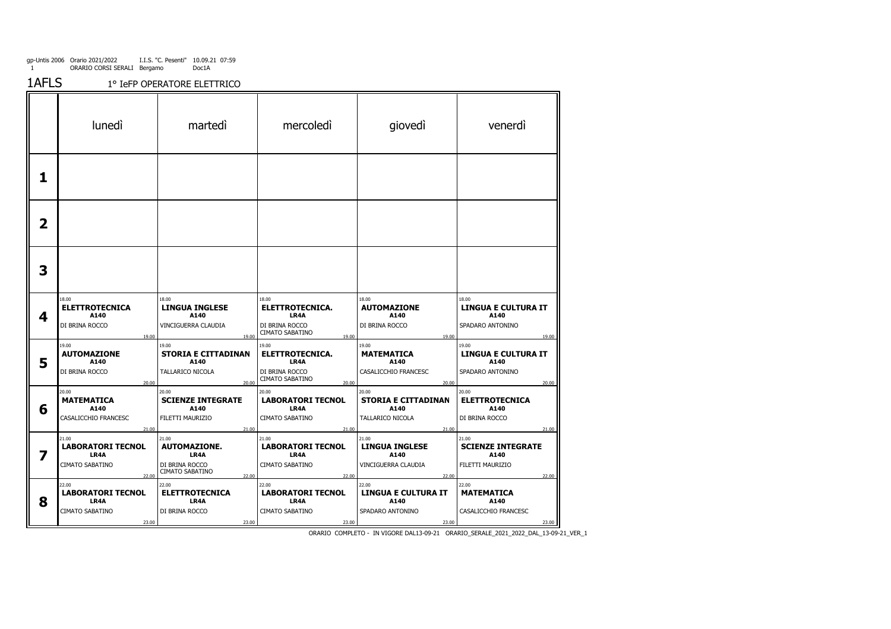1AFLS1° IeFP OPERATORE ELETTRICO

|   | lunedì                                                                  | martedi                                                                                     | mercoledi                                                                             | giovedì                                                                         | venerdì                                                                         |
|---|-------------------------------------------------------------------------|---------------------------------------------------------------------------------------------|---------------------------------------------------------------------------------------|---------------------------------------------------------------------------------|---------------------------------------------------------------------------------|
| 1 |                                                                         |                                                                                             |                                                                                       |                                                                                 |                                                                                 |
| 2 |                                                                         |                                                                                             |                                                                                       |                                                                                 |                                                                                 |
| 3 |                                                                         |                                                                                             |                                                                                       |                                                                                 |                                                                                 |
| 4 | 18.00<br><b>ELETTROTECNICA</b><br>A140<br>DI BRINA ROCCO<br>19.00       | 18.00<br><b>LINGUA INGLESE</b><br>A140<br>VINCIGUERRA CLAUDIA<br>19.00                      | 18.00<br><b>ELETTROTECNICA.</b><br>LR4A<br>DI BRINA ROCCO<br>CIMATO SABATINO<br>19.00 | 18.00<br><b>AUTOMAZIONE</b><br>A140<br>DI BRINA ROCCO<br>19.00                  | 18.00<br><b>LINGUA E CULTURA IT</b><br>A140<br>SPADARO ANTONINO<br>19.00        |
| 5 | 19.00<br><b>AUTOMAZIONE</b><br>A140<br>DI BRINA ROCCO<br>20.00          | 19.00<br><b>STORIA E CITTADINAN</b><br>A140<br>TALLARICO NICOLA<br>20.00                    | 19.00<br><b>ELETTROTECNICA.</b><br>LR4A<br>DI BRINA ROCCO<br>CIMATO SABATINO<br>20.00 | 19.00<br><b>MATEMATICA</b><br>A140<br>CASALICCHIO FRANCESC<br>20.00             | 19.00<br><b>LINGUA E CULTURA IT</b><br>A140<br>SPADARO ANTONINO<br>20.00        |
| 6 | 20.00<br><b>MATEMATICA</b><br>A140<br>CASALICCHIO FRANCESC              | 20.00<br><b>SCIENZE INTEGRATE</b><br>A140<br>FILETTI MAURIZIO                               | 20.00<br><b>LABORATORI TECNOL</b><br>LR4A<br>CIMATO SABATINO                          | 20.00<br><b>STORIA E CITTADINAN</b><br>A140<br>TALLARICO NICOLA                 | 20.00<br><b>ELETTROTECNICA</b><br>A140<br>DI BRINA ROCCO                        |
| 7 | 21.00<br>21.00<br>LABORATORI TECNOL<br>LR4A<br>CIMATO SABATINO<br>22.00 | 21.00<br>21.00<br><b>AUTOMAZIONE.</b><br>LR4A<br>DI BRINA ROCCO<br>CIMATO SABATINO<br>22.00 | 21.00<br>21.00<br><b>LABORATORI TECNOL</b><br>LR4A<br>CIMATO SABATINO<br>22.00        | 21.00<br>21.00<br><b>LINGUA INGLESE</b><br>A140<br>VINCIGUERRA CLAUDIA<br>22.00 | 21.00<br>21.00<br><b>SCIENZE INTEGRATE</b><br>A140<br>FILETTI MAURIZIO<br>22.00 |
| 8 | 22.00<br><b>LABORATORI TECNOL</b><br>LR4A<br>CIMATO SABATINO<br>23.00   | 22.00<br><b>ELETTROTECNICA</b><br>LR4A<br>DI BRINA ROCCO<br>23.00                           | 22.00<br><b>LABORATORI TECNOL</b><br>LR4A<br>CIMATO SABATINO<br>23.00                 | 22.00<br><b>LINGUA E CULTURA IT</b><br>A140<br>SPADARO ANTONINO<br>23.00        | 22.00<br><b>MATEMATICA</b><br>A140<br>CASALICCHIO FRANCESC<br>23.00             |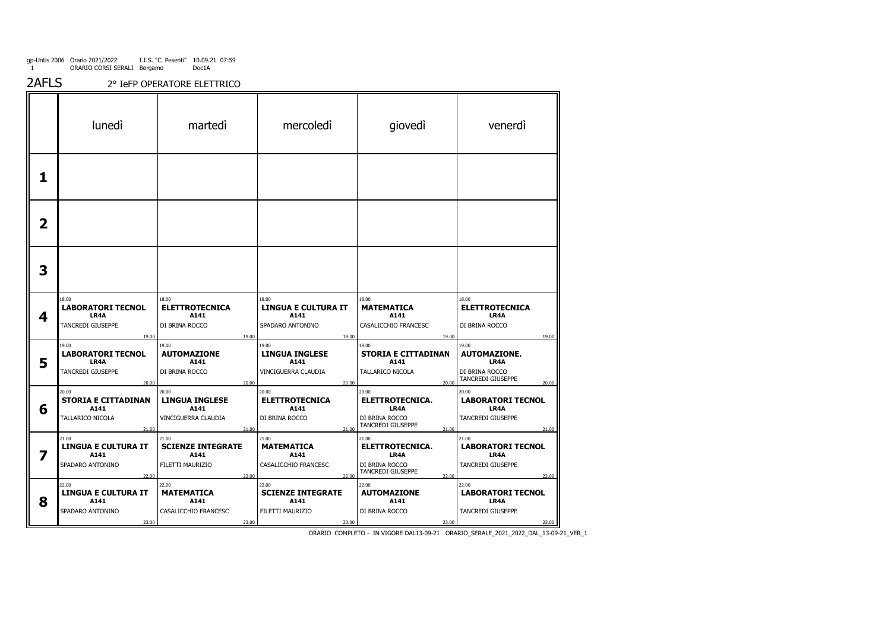2AFLS2° IeFP OPERATORE ELETTRICO

|   | lunedì                                                                   | martedi                                                                | mercoledi                                                                | giovedì                                                                          | venerdì                                                                              |
|---|--------------------------------------------------------------------------|------------------------------------------------------------------------|--------------------------------------------------------------------------|----------------------------------------------------------------------------------|--------------------------------------------------------------------------------------|
| 1 |                                                                          |                                                                        |                                                                          |                                                                                  |                                                                                      |
| 2 |                                                                          |                                                                        |                                                                          |                                                                                  |                                                                                      |
| 3 |                                                                          |                                                                        |                                                                          |                                                                                  |                                                                                      |
| 4 | 18.00<br>LABORATORI TECNOL<br>LR4A<br>TANCREDI GIUSEPPE<br>19.00         | 18.00<br><b>ELETTROTECNICA</b><br>A141<br>DI BRINA ROCCO<br>19.00      | 18.00<br><b>LINGUA E CULTURA IT</b><br>A141<br>SPADARO ANTONINO<br>19.00 | 18.00<br><b>MATEMATICA</b><br>A141<br>CASALICCHIO FRANCESC<br>19.00              | 18.00<br><b>ELETTROTECNICA</b><br>LR4A<br>DI BRINA ROCCO<br>19.00                    |
| 5 | 19.00<br>LABORATORI TECNOL<br>LR4A<br>TANCREDI GIUSEPPE<br>20.00         | 19.00<br><b>AUTOMAZIONE</b><br>A141<br>DI BRINA ROCCO<br>20.00         | 19.00<br><b>LINGUA INGLESE</b><br>A141<br>VINCIGUERRA CLAUDIA<br>20.00   | 19.00<br><b>STORIA E CITTADINAN</b><br>A141<br>TALLARICO NICOLA<br>20.00         | 19.00<br><b>AUTOMAZIONE.</b><br>LR4A<br>DI BRINA ROCCO<br>TANCREDI GIUSEPPE<br>20.00 |
| 6 | 20.00<br><b>STORIA E CITTADINAN</b><br>A141<br>TALLARICO NICOLA<br>21.00 | 20.00<br><b>LINGUA INGLESE</b><br>A141<br>VINCIGUERRA CLAUDIA<br>21.00 | 20.00<br><b>ELETTROTECNICA</b><br>A141<br>DI BRINA ROCCO<br>21.00        | 20.00<br>ELETTROTECNICA.<br>LR4A<br>DI BRINA ROCCO<br>TANCREDI GIUSEPPE<br>21.00 | 20.00<br><b>LABORATORI TECNOL</b><br>LR4A<br>TANCREDI GIUSEPPE<br>21.00              |
| 7 | 21.00<br>LINGUA E CULTURA IT<br>A141<br>SPADARO ANTONINO<br>22.00        | 21.00<br><b>SCIENZE INTEGRATE</b><br>A141<br>FILETTI MAURIZIO<br>22.00 | 21.00<br><b>MATEMATICA</b><br>A141<br>CASALICCHIO FRANCESC<br>22.00      | 21.00<br>ELETTROTECNICA.<br>LR4A<br>DI BRINA ROCCO<br>TANCREDI GIUSEPPE<br>22.00 | 21.00<br><b>LABORATORI TECNOL</b><br>LR4A<br>TANCREDI GIUSEPPE<br>22.00              |
| 8 | 22.00<br>LINGUA E CULTURA IT<br>A141<br>SPADARO ANTONINO<br>23.00        | 22.00<br><b>MATEMATICA</b><br>A141<br>CASALICCHIO FRANCESC<br>23.00    | 22.00<br><b>SCIENZE INTEGRATE</b><br>A141<br>FILETTI MAURIZIO<br>23.00   | 22.00<br><b>AUTOMAZIONE</b><br>A141<br>DI BRINA ROCCO<br>23.00                   | 22.00<br><b>LABORATORI TECNOL</b><br>LR4A<br>TANCREDI GIUSEPPE<br>23.00              |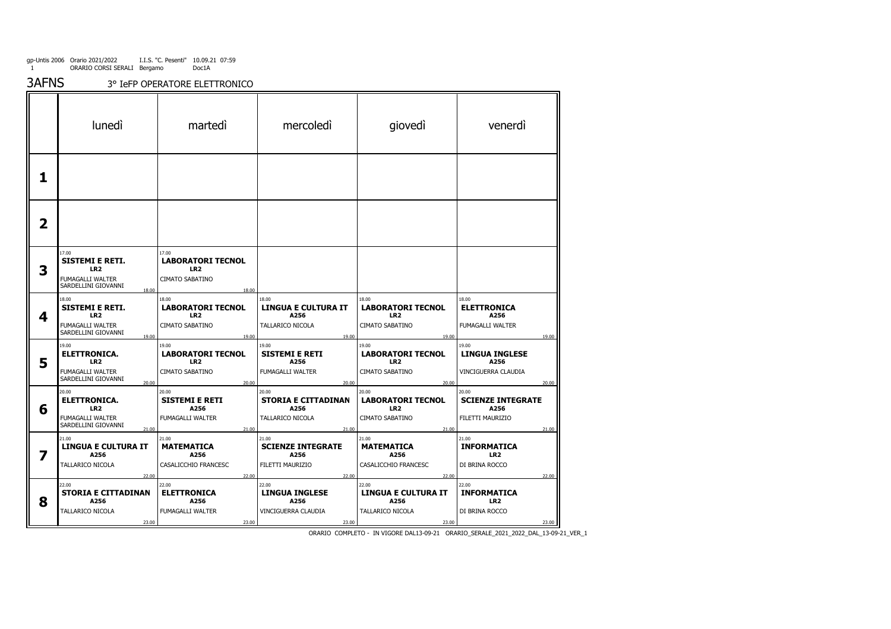3AFNS3° IeFP OPERATORE ELETTRONICO

|   | lunedì                                                                                                     | martedi                                                                          | mercoledì                                                                | giovedì                                                                          | venerdì                                                                            |
|---|------------------------------------------------------------------------------------------------------------|----------------------------------------------------------------------------------|--------------------------------------------------------------------------|----------------------------------------------------------------------------------|------------------------------------------------------------------------------------|
| 1 |                                                                                                            |                                                                                  |                                                                          |                                                                                  |                                                                                    |
| 2 |                                                                                                            |                                                                                  |                                                                          |                                                                                  |                                                                                    |
| 3 | 17.00<br><b>SISTEMI E RETI.</b><br>LR <sub>2</sub><br>FUMAGALLI WALTER<br>SARDELLINI GIOVANNI<br>18.00     | 17.00<br><b>LABORATORI TECNOL</b><br>LR <sub>2</sub><br>CIMATO SABATINO<br>18.00 |                                                                          |                                                                                  |                                                                                    |
| 4 | 18.00<br><b>SISTEMI E RETI.</b><br>LR <sub>2</sub><br>FUMAGALLI WALTER<br>SARDELLINI GIOVANNI<br>19.00     | 18.00<br><b>LABORATORI TECNOL</b><br>LR <sub>2</sub><br>CIMATO SABATINO<br>19.00 | 18.00<br><b>LINGUA E CULTURA IT</b><br>A256<br>TALLARICO NICOLA<br>19.00 | 18.00<br><b>LABORATORI TECNOL</b><br>LR <sub>2</sub><br>CIMATO SABATINO<br>19.00 | 18.00<br><b>ELETTRONICA</b><br>A256<br>FUMAGALLI WALTER<br>19.00                   |
| 5 | 19.00<br><b>ELETTRONICA.</b><br>LR <sub>2</sub><br>FUMAGALLI WALTER<br>SARDELLINI GIOVANNI<br>20.00        | 19.00<br><b>LABORATORI TECNOL</b><br>LR <sub>2</sub><br>CIMATO SABATINO<br>20.00 | 19.00<br><b>SISTEMI E RETI</b><br>A256<br>FUMAGALLI WALTER<br>20.00      | 19.00<br><b>LABORATORI TECNOL</b><br>LR <sub>2</sub><br>CIMATO SABATINO<br>20.00 | 19.00<br><b>LINGUA INGLESE</b><br>A256<br>VINCIGUERRA CLAUDIA<br>20.00             |
| 6 | 20.00<br><b>ELETTRONICA.</b><br>LR <sub>2</sub><br><b>FUMAGALLI WALTER</b><br>SARDELLINI GIOVANNI<br>21.00 | 20.00<br><b>SISTEMI E RETI</b><br>A256<br>FUMAGALLI WALTER<br>21.00              | 20.00<br><b>STORIA E CITTADINAN</b><br>A256<br>TALLARICO NICOLA<br>21.00 | 20.00<br><b>LABORATORI TECNOL</b><br>LR <sub>2</sub><br>CIMATO SABATINO<br>21.00 | 20.00<br><b>SCIENZE INTEGRATE</b><br>A256<br>FILETTI MAURIZIO<br>21.00             |
| 7 | 21.00<br><b>LINGUA E CULTURA IT</b><br>A256<br>TALLARICO NICOLA<br>22.00                                   | 21.00<br><b>MATEMATICA</b><br>A256<br>CASALICCHIO FRANCESC<br>22.00              | 21.00<br><b>SCIENZE INTEGRATE</b><br>A256<br>FILETTI MAURIZIO<br>22.00   | 21.00<br>MATEMATICA<br>A256<br>CASALICCHIO FRANCESC<br>22.00                     | 21.00<br><b>INFORMATICA</b><br>LR <sub>2</sub><br>DI BRINA ROCCO                   |
| 8 | 22.00<br><b>STORIA E CITTADINAN</b><br>A256<br>TALLARICO NICOLA<br>23.00                                   | 22.00<br><b>ELETTRONICA</b><br>A256<br>FUMAGALLI WALTER<br>23.00                 | 22.00<br><b>LINGUA INGLESE</b><br>A256<br>VINCIGUERRA CLAUDIA<br>23.00   | 22.00<br><b>LINGUA E CULTURA IT</b><br>A256<br>TALLARICO NICOLA<br>23.00         | 22.00<br>22.00<br><b>INFORMATICA</b><br>LR <sub>2</sub><br>DI BRINA ROCCO<br>23.00 |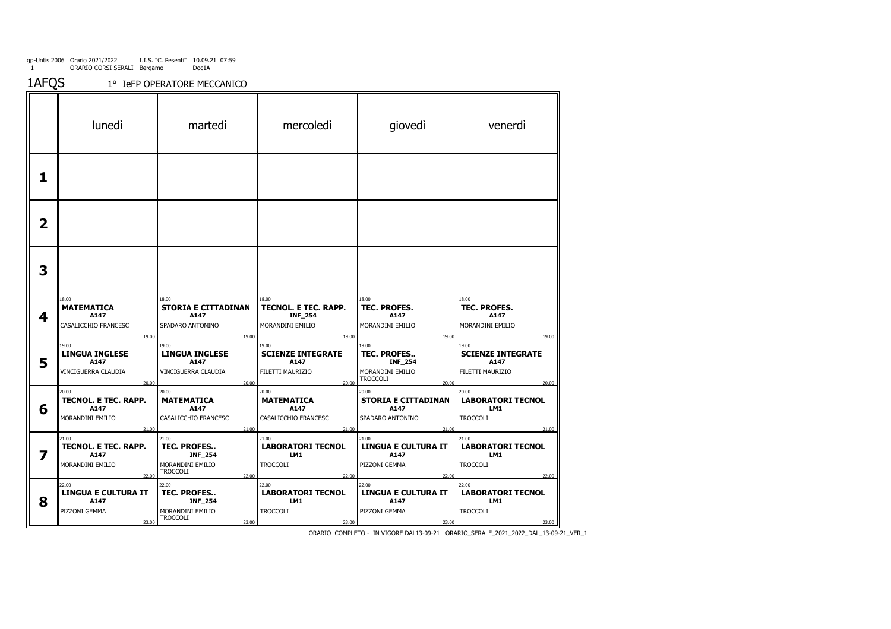gp-Untis 2006 1Orario 2021/2022 ORARIO CORSI SERALI I.I.S. "C. Pesenti" Bergamo10.09.21 07:59 Doc1A

1<sup>o</sup> Iefp Operatore Meccanico

|   | lunedì                                                                          | martedi                                                                                       | mercoledi                                                                    | giovedì                                                                                                | venerdì                                                                         |
|---|---------------------------------------------------------------------------------|-----------------------------------------------------------------------------------------------|------------------------------------------------------------------------------|--------------------------------------------------------------------------------------------------------|---------------------------------------------------------------------------------|
| 1 |                                                                                 |                                                                                               |                                                                              |                                                                                                        |                                                                                 |
| 2 |                                                                                 |                                                                                               |                                                                              |                                                                                                        |                                                                                 |
| 3 |                                                                                 |                                                                                               |                                                                              |                                                                                                        |                                                                                 |
| 4 | 18.00<br><b>MATEMATICA</b><br>A147<br>CASALICCHIO FRANCESC                      | 18.00<br><b>STORIA E CITTADINAN</b><br>A147<br>SPADARO ANTONINO                               | 18.00<br>TECNOL. E TEC. RAPP.<br><b>INF_254</b><br>MORANDINI EMILIO<br>19.00 | 18.00<br>TEC. PROFES.<br>A147<br>MORANDINI EMILIO                                                      | 18.00<br>TEC. PROFES.<br>A147<br>MORANDINI EMILIO                               |
| 5 | 19.00<br>19.00<br><b>LINGUA INGLESE</b><br>A147<br>VINCIGUERRA CLAUDIA<br>20.00 | 19.00<br>19.00<br><b>LINGUA INGLESE</b><br>A147<br>VINCIGUERRA CLAUDIA<br>20.00               | 19.00<br><b>SCIENZE INTEGRATE</b><br>A147<br>FILETTI MAURIZIO<br>20.00       | 19.00<br>19.00<br><b>TEC. PROFES</b><br><b>INF_254</b><br>MORANDINI EMILIO<br><b>TROCCOLI</b><br>20.00 | 19.00<br>19.00<br><b>SCIENZE INTEGRATE</b><br>A147<br>FILETTI MAURIZIO<br>20.00 |
| 6 | 20.00<br>TECNOL. E TEC. RAPP.<br>A147<br>MORANDINI EMILIO<br>21.00              | 20.00<br><b>MATEMATICA</b><br>A147<br>CASALICCHIO FRANCESC<br>21.00                           | 20.00<br><b>MATEMATICA</b><br>A147<br>CASALICCHIO FRANCESC<br>21.00          | 20.00<br><b>STORIA E CITTADINAN</b><br>A147<br>SPADARO ANTONINO                                        | 20.00<br><b>LABORATORI TECNOL</b><br>LM1<br><b>TROCCOLI</b>                     |
| 7 | 21.00<br>TECNOL. E TEC. RAPP.<br>A147<br>MORANDINI EMILIO<br>22.00              | 21.00<br>TEC. PROFES<br><b>INF_254</b><br>MORANDINI EMILIO<br><b>TROCCOLI</b><br>22.00        | 21.00<br><b>LABORATORI TECNOL</b><br>LM1<br><b>TROCCOLI</b><br>22.00         | 21.00<br>21.00<br><b>LINGUA E CULTURA IT</b><br>A147<br>PIZZONI GEMMA<br>22.00                         | 21.00<br>21.00<br><b>LABORATORI TECNOL</b><br>LM1<br><b>TROCCOLI</b><br>22.00   |
| 8 | 22.00<br>LINGUA E CULTURA IT<br>A147<br>PIZZONI GEMMA<br>23.00                  | 22.00<br><b>TEC. PROFES</b><br><b>INF_254</b><br>MORANDINI EMILIO<br><b>TROCCOLI</b><br>23.00 | 22.00<br><b>LABORATORI TECNOL</b><br>LM1<br><b>TROCCOLI</b><br>23.00         | 22.00<br><b>LINGUA E CULTURA IT</b><br>A147<br>PIZZONI GEMMA<br>23.00                                  | 22.00<br><b>LABORATORI TECNOL</b><br>LM1<br><b>TROCCOLI</b><br>23.00            |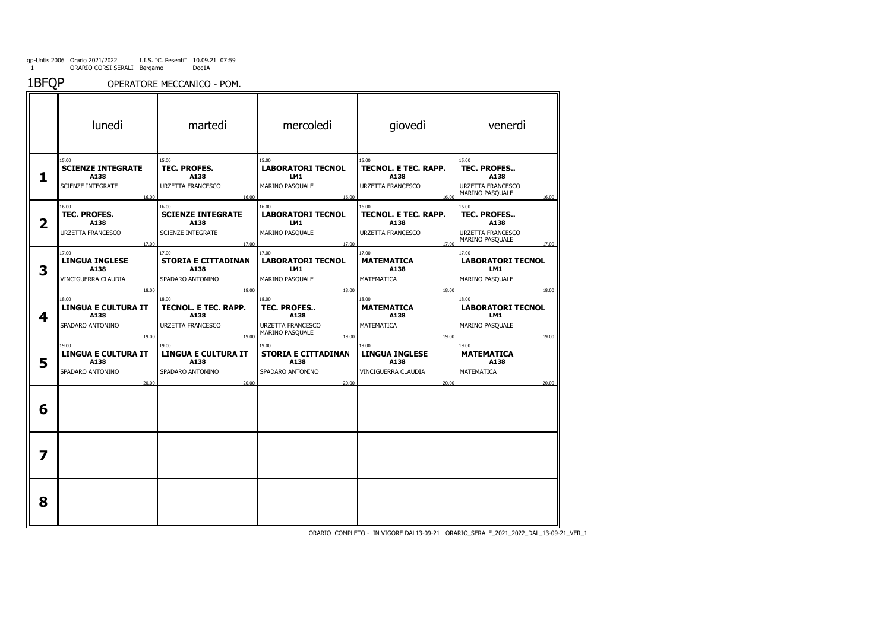gp-Untis 2006 1Orario 2021/2022 ORARIO CORSI SERALI I.I.S. "C. Pesenti" Bergamo10.09.21 07:59 Doc1A

1BFQPOPERATORE MECCANICO - POM.

|   | lunedì                                                                      | martedì                                                                                 | mercoledì                                                                            | giovedì                                                                      | venerdì                                                                                              |
|---|-----------------------------------------------------------------------------|-----------------------------------------------------------------------------------------|--------------------------------------------------------------------------------------|------------------------------------------------------------------------------|------------------------------------------------------------------------------------------------------|
| 1 | 15.00<br><b>SCIENZE INTEGRATE</b><br>A138<br><b>SCIENZE INTEGRATE</b>       | 15.00<br>TEC. PROFES.<br>A138<br><b>URZETTA FRANCESCO</b>                               | 15.00<br><b>LABORATORI TECNOL</b><br>LM1<br>MARINO PASQUALE                          | 15.00<br>TECNOL. E TEC. RAPP.<br>A138<br>URZETTA FRANCESCO                   | 15.00<br>TEC. PROFES<br>A138<br><b>URZETTA FRANCESCO</b><br>MARINO PASQUALE                          |
| 2 | 16.00<br>16.00<br>TEC. PROFES.<br>A138<br><b>URZETTA FRANCESCO</b><br>17.00 | 16.00<br>16.00<br><b>SCIENZE INTEGRATE</b><br>A138<br><b>SCIENZE INTEGRATE</b><br>17.00 | 16.00<br>16.00<br><b>LABORATORI TECNOL</b><br>LM1<br>MARINO PASQUALE<br>17.00        | 16.00<br>16.00<br>TECNOL. E TEC. RAPP.<br>A138<br>URZETTA FRANCESCO<br>17.00 | 16.00<br>16.00<br><b>TEC. PROFES</b><br>A138<br><b>URZETTA FRANCESCO</b><br>MARINO PASQUALE<br>17.00 |
| 3 | 17.00<br><b>LINGUA INGLESE</b><br>A138<br>VINCIGUERRA CLAUDIA               | 17.00<br><b>STORIA E CITTADINAN</b><br>A138<br>SPADARO ANTONINO                         | 17.00<br><b>LABORATORI TECNOL</b><br>LM1<br>MARINO PASQUALE                          | 17.00<br><b>MATEMATICA</b><br>A138<br>MATEMATICA                             | 17.00<br><b>LABORATORI TECNOL</b><br>LM1<br>MARINO PASQUALE                                          |
| 4 | 18.00<br>18.00<br><b>LINGUA E CULTURA IT</b><br>A138<br>SPADARO ANTONINO    | 18.00<br>18.00<br>TECNOL. E TEC. RAPP.<br>A138<br>URZETTA FRANCESCO                     | 18.00<br>18.00<br><b>TEC. PROFES</b><br>A138<br>URZETTA FRANCESCO<br>MARINO PASQUALE | 18.00<br>18.00<br><b>MATEMATICA</b><br>A138<br>MATEMATICA                    | 18.00<br>18.00<br><b>LABORATORI TECNOL</b><br>LM1<br>MARINO PASQUALE                                 |
| 5 | 19.00<br>19.00<br><b>LINGUA E CULTURA IT</b><br>A138<br>SPADARO ANTONINO    | 19.00<br>19.00<br><b>LINGUA E CULTURA IT</b><br>A138<br>SPADARO ANTONINO                | 19.00<br>19.00<br><b>STORIA E CITTADINAN</b><br>A138<br>SPADARO ANTONINO             | 19.00<br>19.00<br><b>LINGUA INGLESE</b><br>A138<br>VINCIGUERRA CLAUDIA       | 19.00<br>19.00<br><b>MATEMATICA</b><br>A138<br><b>MATEMATICA</b>                                     |
| 6 | 20.00                                                                       | 20.00                                                                                   | 20.00                                                                                | 20.00                                                                        | 20.00                                                                                                |
| 7 |                                                                             |                                                                                         |                                                                                      |                                                                              |                                                                                                      |
| 8 |                                                                             |                                                                                         |                                                                                      |                                                                              |                                                                                                      |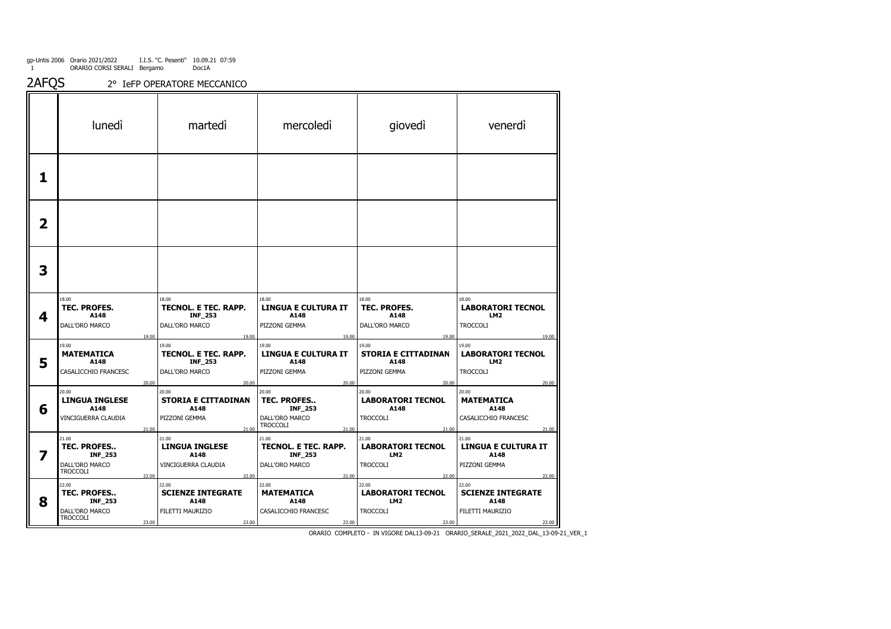gp-Untis 2006 1Orario 2021/2022 ORARIO CORSI SERALI I.I.S. "C. Pesenti" Bergamo10.09.21 07:59 Doc1A

2AFQS 2° IeFP OPERATORE MECCANICO

|                         | lunedì                                                                               | martedì                                                                           | mercoledì                                                                            | giovedì                                                                          | venerdì                                                                          |
|-------------------------|--------------------------------------------------------------------------------------|-----------------------------------------------------------------------------------|--------------------------------------------------------------------------------------|----------------------------------------------------------------------------------|----------------------------------------------------------------------------------|
| 1                       |                                                                                      |                                                                                   |                                                                                      |                                                                                  |                                                                                  |
| $\overline{\mathbf{2}}$ |                                                                                      |                                                                                   |                                                                                      |                                                                                  |                                                                                  |
| 3                       |                                                                                      |                                                                                   |                                                                                      |                                                                                  |                                                                                  |
| 4                       | 18.00<br><b>TEC. PROFES.</b><br>A148<br>DALL'ORO MARCO                               | 18.00<br>TECNOL. E TEC. RAPP.<br><b>INF_253</b><br>DALL'ORO MARCO                 | 18.00<br><b>LINGUA E CULTURA IT</b><br>A148<br>PIZZONI GEMMA                         | 18.00<br><b>TEC. PROFES.</b><br>A148<br>DALL'ORO MARCO                           | 18.00<br><b>LABORATORI TECNOL</b><br>LM <sub>2</sub><br><b>TROCCOLI</b>          |
| 5                       | 19.00<br>19.00<br><b>MATEMATICA</b><br>A148<br>CASALICCHIO FRANCESC<br>20.00         | 19.00<br>19.00<br><b>TECNOL. E TEC. RAPP.</b><br><b>INF_253</b><br>DALL'ORO MARCO | 19.00<br>19.00<br><b>LINGUA E CULTURA IT</b><br>A148<br>PIZZONI GEMMA<br>20.00       | 19.00<br>19.00<br><b>STORIA E CITTADINAN</b><br>A148<br>PIZZONI GEMMA            | 19.00<br>19.00<br><b>LABORATORI TECNOL</b><br>LM <sub>2</sub><br><b>TROCCOLI</b> |
| 6                       | 20.00<br><b>LINGUA INGLESE</b><br>A148<br>VINCIGUERRA CLAUDIA<br>21.00               | 20.00<br>20.00<br><b>STORIA E CITTADINAN</b><br>A148<br>PIZZONI GEMMA<br>21.00    | 20.00<br>TEC. PROFES<br><b>INF_253</b><br>DALL'ORO MARCO<br><b>TROCCOLI</b><br>21.00 | 20.00<br>20.00<br><b>LABORATORI TECNOL</b><br>A148<br><b>TROCCOLI</b><br>21.00   | 20.00<br>20.00<br><b>MATEMATICA</b><br>A148<br>CASALICCHIO FRANCESC<br>21.00     |
| 7                       | 21.00<br>TEC. PROFES<br><b>INF_253</b><br>DALL'ORO MARCO<br><b>TROCCOLI</b><br>22.00 | 21.00<br><b>LINGUA INGLESE</b><br>A148<br>VINCIGUERRA CLAUDIA<br>22.00            | 21.00<br>TECNOL. E TEC. RAPP.<br><b>INF_253</b><br>DALL'ORO MARCO<br>22.00           | 21.00<br><b>LABORATORI TECNOL</b><br>LM <sub>2</sub><br><b>TROCCOLI</b><br>22.00 | 21.00<br><b>LINGUA E CULTURA IT</b><br>A148<br>PIZZONI GEMMA<br>22.00            |
| 8                       | 22.00<br><b>TEC. PROFES</b><br>INF_253<br>DALL'ORO MARCO<br>TROCCOLI<br>23.00        | 22.00<br><b>SCIENZE INTEGRATE</b><br>A148<br>FILETTI MAURIZIO<br>23.00            | 22.00<br><b>MATEMATICA</b><br>A148<br>CASALICCHIO FRANCESC<br>23.00                  | 22.00<br><b>LABORATORI TECNOL</b><br>LM <sub>2</sub><br><b>TROCCOLI</b><br>23.00 | 22.00<br><b>SCIENZE INTEGRATE</b><br>A148<br>FILETTI MAURIZIO<br>23.00           |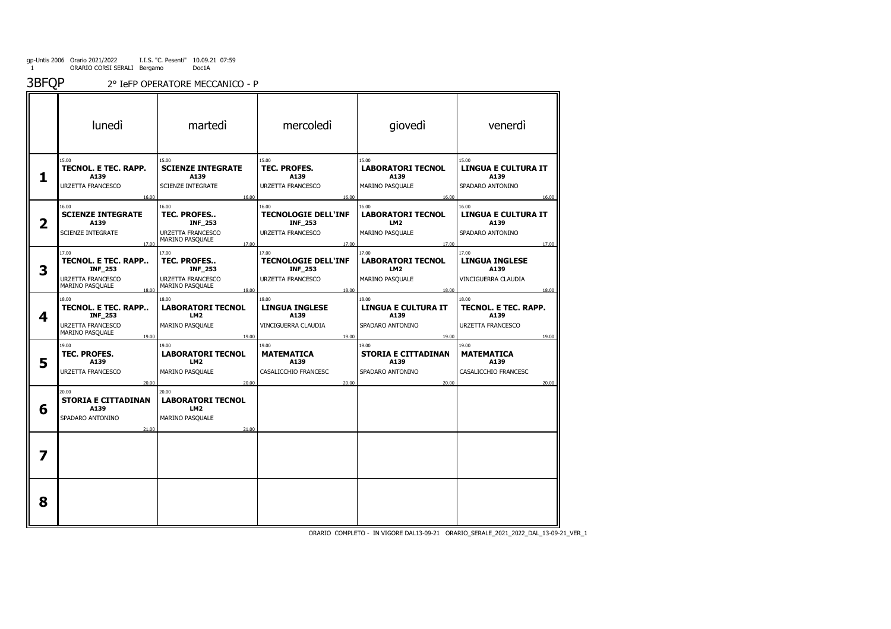3BFQP2° IeFP OPERATORE MECCANICO - P

| lunedì                                                                |                                                                                    |                                                                                            |                                                                                  |                                                                          |
|-----------------------------------------------------------------------|------------------------------------------------------------------------------------|--------------------------------------------------------------------------------------------|----------------------------------------------------------------------------------|--------------------------------------------------------------------------|
|                                                                       | martedì                                                                            | mercoledì                                                                                  | giovedì                                                                          | venerdì                                                                  |
| TECNOL. E TEC. RAPP.<br>A139<br>URZETTA FRANCESCO                     | 15.00<br><b>SCIENZE INTEGRATE</b><br>A139<br><b>SCIENZE INTEGRATE</b>              | 15.00<br><b>TEC. PROFES.</b><br>A139<br>URZETTA FRANCESCO                                  | 15.00<br><b>LABORATORI TECNOL</b><br>A139<br>MARINO PASQUALE                     | 15.00<br><b>LINGUA E CULTURA IT</b><br>A139<br>SPADARO ANTONINO          |
| 16.00<br><b>SCIENZE INTEGRATE</b><br>A139<br><b>SCIENZE INTEGRATE</b> | 16.00<br>16.00<br><b>TEC. PROFES</b><br><b>INF_253</b><br><b>URZETTA FRANCESCO</b> | 16.00<br>16.00<br><b>TECNOLOGIE DELL'INF</b><br><b>INF_253</b><br><b>URZETTA FRANCESCO</b> | 16.00<br>16.00<br><b>LABORATORI TECNOL</b><br>LM <sub>2</sub><br>MARINO PASQUALE | 16.00<br>16.00<br><b>LINGUA E CULTURA IT</b><br>A139<br>SPADARO ANTONINO |
| 17.00<br>TECNOL. E TEC. RAPP                                          | MARINO PASQUALE<br>17.00<br>17.00<br><b>TEC. PROFES</b><br><b>INF_253</b>          | 17.00<br>17.00<br><b>TECNOLOGIE DELL'INF</b><br><b>INF_253</b>                             | 17.00<br>17.00<br><b>LABORATORI TECNOL</b><br>LM <sub>2</sub>                    | 17.00<br>17.00<br><b>LINGUA INGLESE</b><br>A139                          |
| URZETTA FRANCESCO<br>MARINO PASQUALE<br>18.00                         | <b>URZETTA FRANCESCO</b><br>MARINO PASQUALE<br>18.00                               | <b>URZETTA FRANCESCO</b><br>18.00                                                          | MARINO PASQUALE<br>18.00                                                         | VINCIGUERRA CLAUDIA<br>18.00                                             |
| TECNOL. E TEC. RAPP<br><b>INF_253</b>                                 | <b>LABORATORI TECNOL</b><br>LM <sub>2</sub>                                        | <b>LINGUA INGLESE</b><br>A139                                                              | LINGUA E CULTURA IT<br>A139                                                      | 18.00<br>TECNOL. E TEC. RAPP.<br>A139                                    |
| URZETTA FRANCESCO<br>MARINO PASQUALE<br>19.00                         | MARINO PASQUALE<br>19.00                                                           | VINCIGUERRA CLAUDIA<br>19.00                                                               | SPADARO ANTONINO<br>19.00                                                        | <b>URZETTA FRANCESCO</b><br>19.00                                        |
| TEC. PROFES.<br>A139                                                  | <b>LABORATORI TECNOL</b><br>LM <sub>2</sub>                                        | <b>MATEMATICA</b><br>A139                                                                  | <b>STORIA E CITTADINAN</b><br>A139                                               | 19.00<br><b>MATEMATICA</b><br>A139                                       |
| URZETTA FRANCESCO<br>20.00                                            | MARINO PASQUALE<br>20.00                                                           | CASALICCHIO FRANCESC<br>20.00                                                              | SPADARO ANTONINO<br>20.00                                                        | CASALICCHIO FRANCESC<br>20.00                                            |
| <b>STORIA E CITTADINAN</b><br>A139<br>SPADARO ANTONINO                | <b>LABORATORI TECNOL</b><br>LM <sub>2</sub><br>MARINO PASQUALE                     |                                                                                            |                                                                                  |                                                                          |
| 21.00                                                                 | 21.00                                                                              |                                                                                            |                                                                                  |                                                                          |
|                                                                       |                                                                                    |                                                                                            |                                                                                  |                                                                          |
|                                                                       |                                                                                    |                                                                                            |                                                                                  |                                                                          |
|                                                                       | <b>INF_253</b>                                                                     | 18.00<br>19.00<br>20.00                                                                    | 18.00<br>19.00                                                                   | 18.00<br>19.00                                                           |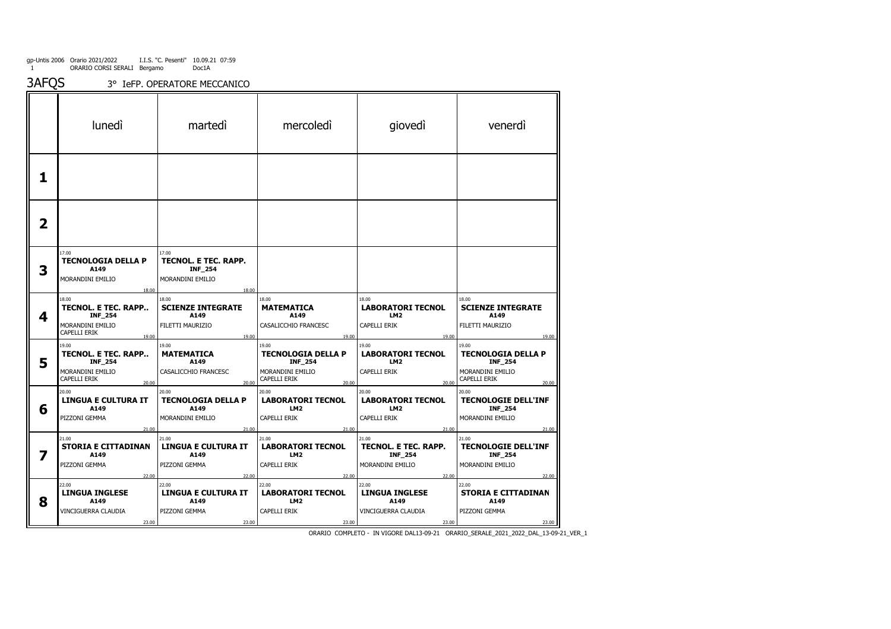3AFQS3° IeFP. OPERATORE MECCANICO

|   | lunedì                                                                                      | martedi                                                                        | mercoledi                                                                                         | giovedì                                                                         | venerdì                                                                                           |
|---|---------------------------------------------------------------------------------------------|--------------------------------------------------------------------------------|---------------------------------------------------------------------------------------------------|---------------------------------------------------------------------------------|---------------------------------------------------------------------------------------------------|
| 1 |                                                                                             |                                                                                |                                                                                                   |                                                                                 |                                                                                                   |
| 2 |                                                                                             |                                                                                |                                                                                                   |                                                                                 |                                                                                                   |
| 3 | 17.00<br><b>TECNOLOGIA DELLA P</b><br>A149<br>MORANDINI EMILIO<br>18.00                     | 17.00<br>TECNOL. E TEC. RAPP.<br><b>INF_254</b><br>MORANDINI EMILIO<br>18.00   |                                                                                                   |                                                                                 |                                                                                                   |
| 4 | 18.00<br>TECNOL. E TEC. RAPP<br><b>INF_254</b><br>MORANDINI EMILIO<br>CAPELLI ERIK<br>19.00 | 18.00<br><b>SCIENZE INTEGRATE</b><br>A149<br>FILETTI MAURIZIO<br>19.00         | 18.00<br><b>MATEMATICA</b><br>A149<br>CASALICCHIO FRANCESC<br>19.00                               | 18.00<br><b>LABORATORI TECNOL</b><br>LM <sub>2</sub><br>CAPELLI ERIK<br>19.00   | 18.00<br><b>SCIENZE INTEGRATE</b><br>A149<br>FILETTI MAURIZIO<br>19.00                            |
| 5 | 19.00<br>TECNOL. E TEC. RAPP<br><b>INF_254</b><br>MORANDINI EMILIO<br>CAPELLI ERIK<br>20.00 | 19.00<br><b>MATEMATICA</b><br>A149<br>CASALICCHIO FRANCESC<br>20.00            | 19.00<br><b>TECNOLOGIA DELLA P</b><br><b>INF_254</b><br>MORANDINI EMILIO<br>CAPELLI ERIK<br>20.00 | 19.00<br><b>LABORATORI TECNOL</b><br>LM <sub>2</sub><br>CAPELLI ERIK<br>20.00   | 19.00<br><b>TECNOLOGIA DELLA P</b><br><b>INF_254</b><br>MORANDINI EMILIO<br>CAPELLI ERIK<br>20.00 |
| 6 | 20.00<br><b>LINGUA E CULTURA IT</b><br>A149<br>PIZZONI GEMMA<br>21.00                       | 20.00<br>TECNOLOGIA DELLA P<br>A149<br>MORANDINI EMILIO<br>21.00               | 20.00<br><b>LABORATORI TECNOL</b><br>LM <sub>2</sub><br>CAPELLI ERIK<br>21.00                     | 20.00<br><b>LABORATORI TECNOL</b><br>LM <sub>2</sub><br>CAPELLI ERIK<br>21.00   | 20.00<br><b>TECNOLOGIE DELL'INF</b><br>INF_254<br>MORANDINI EMILIO<br>21.00                       |
| 7 | 21.00<br><b>STORIA E CITTADINAN</b><br>A149<br>PIZZONI GEMMA                                | 21.00<br><b>LINGUA E CULTURA IT</b><br>A149<br>PIZZONI GEMMA                   | 21.00<br><b>LABORATORI TECNOL</b><br>LM2<br>CAPELLI ERIK                                          | 21.00<br>TECNOL. E TEC. RAPP.<br><b>INF_254</b><br>MORANDINI EMILIO             | 21.00<br><b>TECNOLOGIE DELL'INF</b><br><b>INF_254</b><br>MORANDINI EMILIO                         |
| 8 | 22.00<br>22.00<br><b>LINGUA INGLESE</b><br>A149<br>VINCIGUERRA CLAUDIA<br>23.00             | 22.00<br>22.00<br><b>LINGUA E CULTURA IT</b><br>A149<br>PIZZONI GEMMA<br>23.00 | 22.00<br>22.00<br><b>LABORATORI TECNOL</b><br>LM2<br>CAPELLI ERIK<br>23.00                        | 22.00<br>22.00<br><b>LINGUA INGLESE</b><br>A149<br>VINCIGUERRA CLAUDIA<br>23.00 | 22.00<br>22.00<br><b>STORIA E CITTADINAN</b><br>A149<br>PIZZONI GEMMA<br>23.00                    |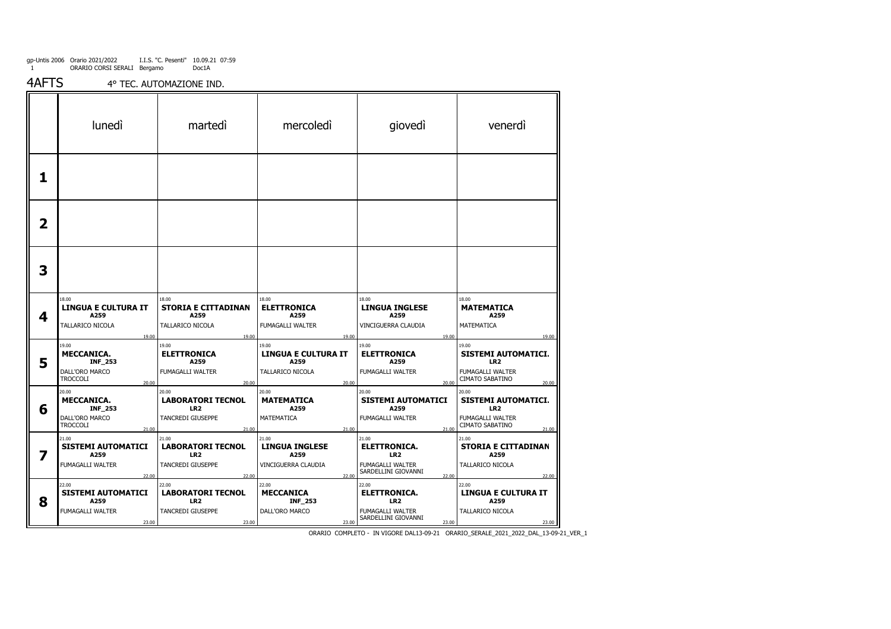4AFTS4° TEC. AUTOMAZIONE IND.

|   | <b>luned</b>                                                                                        | martedi                                                                            | mercoledi                                                                         | giovedì                                                                                             | venerdì                                                                                                  |
|---|-----------------------------------------------------------------------------------------------------|------------------------------------------------------------------------------------|-----------------------------------------------------------------------------------|-----------------------------------------------------------------------------------------------------|----------------------------------------------------------------------------------------------------------|
| 1 |                                                                                                     |                                                                                    |                                                                                   |                                                                                                     |                                                                                                          |
| 2 |                                                                                                     |                                                                                    |                                                                                   |                                                                                                     |                                                                                                          |
| 3 |                                                                                                     |                                                                                    |                                                                                   |                                                                                                     |                                                                                                          |
| 4 | 18.00<br><b>LINGUA E CULTURA IT</b><br>A259<br>TALLARICO NICOLA                                     | 18.00<br><b>STORIA E CITTADINAN</b><br>A259<br>TALLARICO NICOLA                    | 18.00<br><b>ELETTRONICA</b><br>A259<br>FUMAGALLI WALTER                           | 18.00<br><b>LINGUA INGLESE</b><br>A259<br>VINCIGUERRA CLAUDIA                                       | 18.00<br><b>MATEMATICA</b><br>A259<br>MATEMATICA                                                         |
| 5 | 19.00<br>19.00<br><b>MECCANICA.</b><br><b>INF_253</b><br>DALL'ORO MARCO<br><b>TROCCOLI</b><br>20.00 | 19.00<br>19.00<br><b>ELETTRONICA</b><br>A259<br>FUMAGALLI WALTER<br>20.00          | 19.00<br>19.00<br><b>LINGUA E CULTURA IT</b><br>A259<br>TALLARICO NICOLA<br>20.00 | 19.00<br>19.00<br><b>ELETTRONICA</b><br>A259<br>FUMAGALLI WALTER<br>20.00                           | 19.00<br>19.00<br>SISTEMI AUTOMATICI.<br>LR <sub>2</sub><br>FUMAGALLI WALTER<br>CIMATO SABATINO<br>20.00 |
| 6 | 20.00<br><b>MECCANICA.</b><br><b>INF_253</b><br>DALL'ORO MARCO<br><b>TROCCOLI</b><br>21.00          | 20.00<br><b>LABORATORI TECNOL</b><br>LR <sub>2</sub><br>TANCREDI GIUSEPPE<br>21.00 | 20.00<br><b>MATEMATICA</b><br>A259<br>MATEMATICA<br>21.00                         | 20.00<br><b>SISTEMI AUTOMATICI</b><br>A259<br>FUMAGALLI WALTER<br>21.00                             | 20.00<br><b>SISTEMI AUTOMATICI.</b><br>LR <sub>2</sub><br>FUMAGALLI WALTER<br>CIMATO SABATINO<br>21.00   |
| 7 | 21.00<br><b>SISTEMI AUTOMATICI</b><br>A259<br><b>FUMAGALLI WALTER</b><br>22.00                      | 21.00<br><b>LABORATORI TECNOL</b><br>LR <sub>2</sub><br>TANCREDI GIUSEPPE<br>22.00 | 21.00<br><b>LINGUA INGLESE</b><br>A259<br>VINCIGUERRA CLAUDIA<br>22.00            | 21.00<br><b>ELETTRONICA.</b><br>LR <sub>2</sub><br>FUMAGALLI WALTER<br>SARDELLINI GIOVANNI<br>22.00 | 21.00<br><b>STORIA E CITTADINAN</b><br>A259<br>TALLARICO NICOLA<br>22.00                                 |
| 8 | 22.00<br><b>SISTEMI AUTOMATICI</b><br>A259<br>FUMAGALLI WALTER<br>23.00                             | 22.00<br><b>LABORATORI TECNOL</b><br>LR <sub>2</sub><br>TANCREDI GIUSEPPE<br>23.00 | 22.00<br><b>MECCANICA</b><br><b>INF_253</b><br>DALL'ORO MARCO<br>23.00            | 22.00<br><b>ELETTRONICA.</b><br>LR <sub>2</sub><br>FUMAGALLI WALTER<br>SARDELLINI GIOVANNI<br>23.00 | 22.00<br><b>LINGUA E CULTURA IT</b><br>A259<br>TALLARICO NICOLA<br>23.00                                 |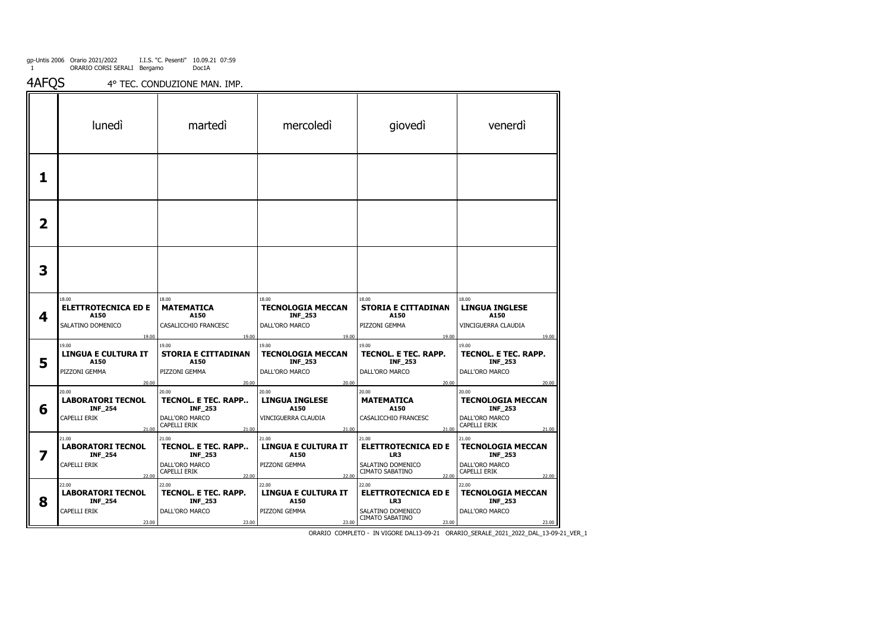4AFQS4° TEC. CONDUZIONE MAN. IMP.

|   | <b>luned</b>                                                                 | martedi                                                                                   | mercoledi                                                                      | giovedì                                                                                     | venerdì                                                                                        |
|---|------------------------------------------------------------------------------|-------------------------------------------------------------------------------------------|--------------------------------------------------------------------------------|---------------------------------------------------------------------------------------------|------------------------------------------------------------------------------------------------|
| 1 |                                                                              |                                                                                           |                                                                                |                                                                                             |                                                                                                |
| 2 |                                                                              |                                                                                           |                                                                                |                                                                                             |                                                                                                |
| 3 |                                                                              |                                                                                           |                                                                                |                                                                                             |                                                                                                |
| 4 | 18.00<br><b>ELETTROTECNICA ED E</b><br>A150<br>SALATINO DOMENICO<br>19.00    | 18.00<br><b>MATEMATICA</b><br>A150<br>CASALICCHIO FRANCESC<br>19.00                       | 18.00<br><b>TECNOLOGIA MECCAN</b><br><b>INF_253</b><br>DALL'ORO MARCO<br>19.00 | 18.00<br><b>STORIA E CITTADINAN</b><br>A150<br>PIZZONI GEMMA<br>19.00                       | 18.00<br><b>LINGUA INGLESE</b><br>A150<br>VINCIGUERRA CLAUDIA<br>19.00                         |
| 5 | 19.00<br><b>LINGUA E CULTURA IT</b><br>A150<br>PIZZONI GEMMA<br>20.00        | 19.00<br><b>STORIA E CITTADINAN</b><br>A150<br>PIZZONI GEMMA<br>20.00                     | 19.00<br><b>TECNOLOGIA MECCAN</b><br><b>INF_253</b><br>DALL'ORO MARCO<br>20.00 | 19.00<br>TECNOL. E TEC. RAPP.<br><b>INF_253</b><br>DALL'ORO MARCO<br>20.00                  | 19.00<br>TECNOL. E TEC. RAPP.<br><b>INF_253</b><br>DALL'ORO MARCO<br>20.00                     |
| 6 | 20.00<br><b>LABORATORI TECNOL</b><br><b>INF_254</b><br>CAPELLI ERIK<br>21.00 | 20.00<br>TECNOL. E TEC. RAPP<br><b>INF_253</b><br>DALL'ORO MARCO<br>CAPELLI ERIK<br>21.00 | 20.00<br><b>LINGUA INGLESE</b><br>A150<br>VINCIGUERRA CLAUDIA<br>21.00         | 20.00<br><b>MATEMATICA</b><br>A150<br>CASALICCHIO FRANCESC<br>21.00                         | 20.00<br><b>TECNOLOGIA MECCAN</b><br><b>INF_253</b><br>DALL'ORO MARCO<br>CAPELLI ERIK<br>21.00 |
| 7 | 21.00<br><b>LABORATORI TECNOL</b><br><b>INF_254</b><br>CAPELLI ERIK<br>22.00 | 21.00<br>TECNOL. E TEC. RAPP<br><b>INF_253</b><br>DALL'ORO MARCO<br>CAPELLI ERIK<br>22.00 | 21.00<br><b>LINGUA E CULTURA IT</b><br>A150<br>PIZZONI GEMMA<br>22.00          | 21.00<br><b>ELETTROTECNICA ED E</b><br>LR3<br>SALATINO DOMENICO<br>CIMATO SABATINO<br>22.00 | 21.00<br><b>TECNOLOGIA MECCAN</b><br><b>INF_253</b><br>DALL'ORO MARCO<br>CAPELLI ERIK<br>22.00 |
| 8 | 22.00<br><b>LABORATORI TECNOL</b><br><b>INF_254</b><br>CAPELLI ERIK<br>23.00 | 22.00<br><b>TECNOL. E TEC. RAPP.</b><br><b>INF_253</b><br>DALL'ORO MARCO<br>23.00         | 22.00<br><b>LINGUA E CULTURA IT</b><br>A150<br>PIZZONI GEMMA<br>23.00          | 22.00<br><b>ELETTROTECNICA ED E</b><br>LR3<br>SALATINO DOMENICO<br>CIMATO SABATINO<br>23.00 | 22.00<br><b>TECNOLOGIA MECCAN</b><br><b>INF_253</b><br>DALL'ORO MARCO<br>23.00                 |